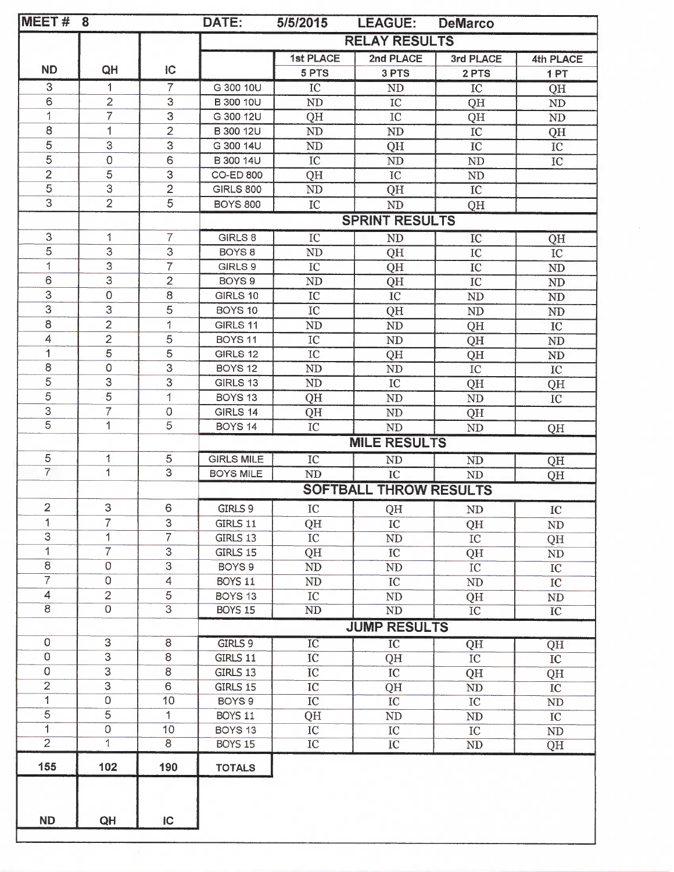| MEET#                   | 8                         |                | DATE:                         | 5/5/2015        | <b>LEAGUE:</b>      | <b>DeMarco</b> |                 |
|-------------------------|---------------------------|----------------|-------------------------------|-----------------|---------------------|----------------|-----------------|
|                         |                           |                | <b>RELAY RESULTS</b>          |                 |                     |                |                 |
|                         |                           |                |                               | 1st PLACE       | 2nd PLACE           | 3rd PLACE      | 4th PLACE       |
| <b>ND</b>               | QH                        | IC             |                               | 5 PTS           | 3 PTS               | 2 PTS          | 1PT             |
| 3                       | 1                         | 7              | G 300 10U                     | IC              | <b>ND</b>           | $_{\rm IC}$    | QH              |
| 6                       | $\overline{c}$            | 3              | <b>B 300 10U</b>              | ND              | IC                  | QH             | $\rm ND$        |
| 1                       | $\overline{7}$            | 3              | G 300 12U                     | QH              | ${\rm IC}$          | QH             | $\rm ND$        |
| 8                       | 1                         | $\overline{2}$ | B 300 12U                     | ND              | $\mbox{ND}$         | ${\rm IC}$     | QH              |
| 5                       | 3                         | 3              | G 300 14U                     | ND              | QH                  | IC             | IC              |
| $\mathbf 5$             | $\mathsf O$               | 6              | B 300 14U                     | IC              | <b>ND</b>           | ND             | IC              |
| $\overline{2}$          | 5                         | $\mathsf 3$    | CO-ED 800                     | QH              | IC                  | ND             |                 |
| $\overline{5}$          | $\overline{3}$            | $\overline{2}$ | <b>GIRLS 800</b>              | ND              | QH                  | IC             |                 |
| $\overline{3}$          | $\overline{2}$            | $\overline{5}$ | <b>BOYS 800</b>               | IC              | ND                  | QH             |                 |
|                         |                           |                | <b>SPRINT RESULTS</b>         |                 |                     |                |                 |
| 3                       | 1                         | $\overline{7}$ | GIRLS 8                       | $\overline{IC}$ | ND                  | $_{\text{IC}}$ | QH              |
| 5                       | 3                         | 3              | BOYS <sub>8</sub>             | ND              | QH                  | IC             | IC              |
| $\mathbf 1$             | $\mathsf 3$               | $\overline{7}$ | GIRLS 9                       | ${\rm IC}$      | QH                  | $_{\rm IC}$    | ND              |
| 6                       | $\ensuremath{\mathsf{3}}$ | $\overline{2}$ | BOYS <sub>9</sub>             | ND              | QH                  | IC             | $\rm ND$        |
| $\overline{3}$          | $\mathsf 0$               | $\,8\,$        | GIRLS 10                      | IC              | IC                  | $\rm ND$       | $\rm ND$        |
| $\overline{3}$          | 3                         | 5              | BOYS 10                       | IC              | QH                  | ND             | ${\rm ND}$      |
| 8                       | $\overline{2}$            | 1              | GIRLS 11                      | ND              | ND                  | QH             | IC              |
| 4                       | $\overline{2}$            | 5              | BOYS <sub>11</sub>            | IC              | ND                  | QH             | ND              |
| $\overline{1}$          | $\overline{5}$            | 5              | GIRLS 12                      | IC              | QH                  | QH             | $\rm ND$        |
| $\bf8$                  | $\mathsf O$               | 3              | BOYS <sub>12</sub>            | ND              | $\rm ND$            | IC             | IC              |
| 5                       | $\mbox{3}$                | 3              | GIRLS 13                      | ND              | IC                  | QH             | QH              |
| 5                       | $\overline{5}$            | $\mathbf{1}$   | BOYS <sub>13</sub>            | QH              | $\mbox{\sc ND}$     | $\rm ND$       | $\rm IC$        |
| $\mbox{3}$              | $\overline{7}$            | $\mathbf 0$    | GIRLS 14                      | QH              | ND                  | QH             |                 |
| $\overline{5}$          | 1                         | 5              | BOYS <sub>14</sub>            | $_{\rm IC}$     | ND                  | ND             | QH              |
|                         |                           |                |                               |                 | <b>MILE RESULTS</b> |                |                 |
| 5                       | 1                         | 5              | <b>GIRLS MILE</b>             | IC              | <b>ND</b>           | $\rm ND$       | QH              |
| $\overline{7}$          | $\mathbf{1}$              | $\overline{3}$ | <b>BOYS MILE</b>              | <b>ND</b>       | IC                  | $\rm ND$       | QH              |
|                         |                           |                | <b>SOFTBALL THROW RESULTS</b> |                 |                     |                |                 |
| $\overline{2}$          | 3                         | 6              | GIRLS 9                       | ${\rm IC}$      | QH                  | $\rm ND$       | ${\rm IC}$      |
| 1                       | 7                         | 3              | GIRLS 11                      | QH              | IC                  | QH             | ND              |
| $\overline{\mathbf{3}}$ | 1                         | 7              | GIRLS 13                      | ${\rm IC}$      | ND                  | IC             | QH              |
| 1                       | $\overline{7}$            | 3              | GIRLS 15                      | QH              | $_{\text{IC}}$      | QH             | $\rm ND$        |
| $\overline{8}$          | $\overline{0}$            | $\overline{3}$ | BOYS <sub>9</sub>             | ND              | $\rm ND$            | IC             | $\rm{IC}$       |
| $\overline{7}$          | 0                         | $\overline{4}$ | BOYS 11                       | $\rm ND$        | $_{\rm IC}$         | $\rm ND$       | ${\rm IC}$      |
| $\overline{4}$          | $\overline{2}$            | 5              | BOYS <sub>13</sub>            | IC              | ND                  | QH             | $\rm ND$        |
| $\overline{8}$          | $\overline{0}$            | $\overline{3}$ | <b>BOYS 15</b>                | ND              | <b>ND</b>           | IC             | $\overline{IC}$ |
|                         |                           |                | <b>JUMP RESULTS</b>           |                 |                     |                |                 |
| 0                       | 3                         | $\bf 8$        | GIRLS 9                       | $\overline{IC}$ | $\overline{IC}$     | QH             | QH              |
| $\mathbf 0$             | $\overline{3}$            | 8              | GIRLS 11                      | IC              | QH                  | IC             | IC              |
| $\mbox{O}$              | 3                         | 8              | GIRLS 13                      | IC              | ${\rm IC}$          | QH             | QH              |
| $\overline{2}$          | $\overline{3}$            | 6              | GIRLS 15                      | IC              | QH                  | ND             | IC              |
| 1                       | $\mathsf{O}\xspace$       | 10             | BOYS 9                        | ${\rm IC}$      | $_{\rm IC}$         | ${IC}$         | $\rm ND$        |
| $\overline{5}$          | $\overline{5}$            | 1              | BOYS 11                       | QH              | $\rm ND$            | ND             | IC              |
| $\overline{1}$          | 0                         | 10             | BOYS 13                       | IC              | IC                  | IC             | ND              |
| $\overline{2}$          | 1                         | 8              | <b>BOYS 15</b>                | IC              | IC                  | ND             | QH              |
| 155                     | 102                       | 190            | <b>TOTALS</b>                 |                 |                     |                |                 |
|                         |                           |                |                               |                 |                     |                |                 |
|                         |                           |                |                               |                 |                     |                |                 |
| <b>ND</b>               | QH                        | $\overline{C}$ |                               |                 |                     |                |                 |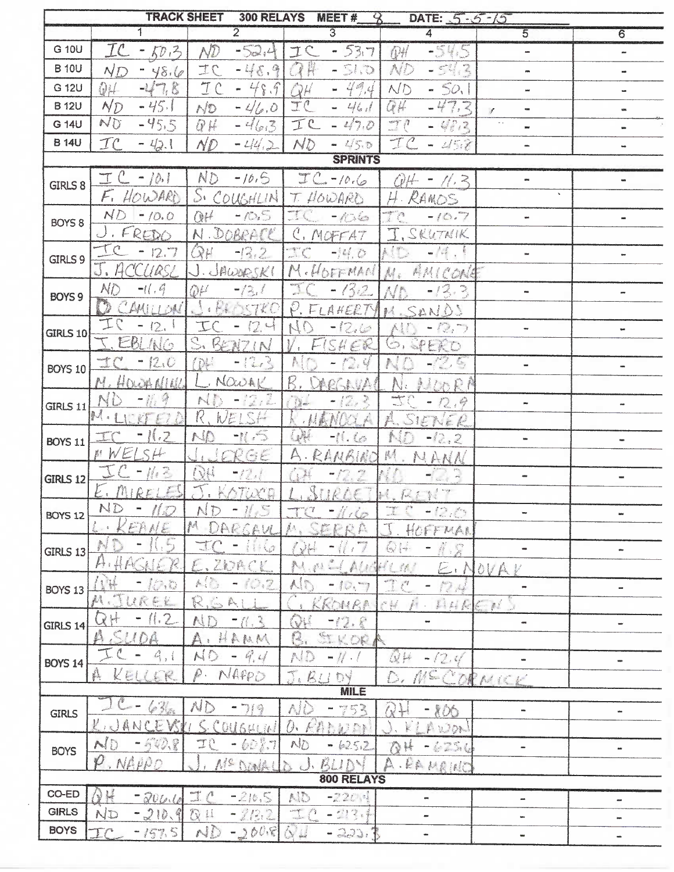| <b>TRACK SHEET</b><br><b>300 RELAYS</b><br>MEET#<br>DATE: 5-5-15<br>q |                                        |                                                                                                                                                                                                                                                                                                                                                                                                                                                                                                                                                                 |                                                                                                                                          |                              |                                 |                                            |  |
|-----------------------------------------------------------------------|----------------------------------------|-----------------------------------------------------------------------------------------------------------------------------------------------------------------------------------------------------------------------------------------------------------------------------------------------------------------------------------------------------------------------------------------------------------------------------------------------------------------------------------------------------------------------------------------------------------------|------------------------------------------------------------------------------------------------------------------------------------------|------------------------------|---------------------------------|--------------------------------------------|--|
|                                                                       | 1                                      | $\overline{2}$                                                                                                                                                                                                                                                                                                                                                                                                                                                                                                                                                  | $\overline{3}$                                                                                                                           | 4                            | $\overline{5}$                  | 6                                          |  |
| G 10U                                                                 | TC<br>$-50.3$                          | $\wedge\!\!\!\!\!\!\mathcal{D}$<br>$-52,4$                                                                                                                                                                                                                                                                                                                                                                                                                                                                                                                      | $-537$<br>IC                                                                                                                             | $-545$<br>QH                 | ÷                               | $\equiv$                                   |  |
| <b>B</b> 10U                                                          | $-48.6$<br>ND                          | IC<br>$-48.9$                                                                                                                                                                                                                                                                                                                                                                                                                                                                                                                                                   | OP H<br>$-51.0$                                                                                                                          | <b>ND</b><br>$-543$          | -                               |                                            |  |
| G 12U                                                                 | $-47.8$<br>QH                          | TC<br>$-48.9$                                                                                                                                                                                                                                                                                                                                                                                                                                                                                                                                                   | $-49.4$<br>QH                                                                                                                            | ND<br>$-50.1$                | w.                              | $\frac{1}{2} \left( \frac{1}{2} \right)^2$ |  |
| <b>B</b> 12U                                                          | $N_D$<br>$-45.1$                       | $N^{2}D$<br>$-46.0$                                                                                                                                                                                                                                                                                                                                                                                                                                                                                                                                             | TC<br>$-461$                                                                                                                             | QH<br>$-47.3$                | $\blacksquare$<br>$\mathcal{J}$ |                                            |  |
| G 14U                                                                 | ND<br>$-45.5$                          | QH<br>$-463$                                                                                                                                                                                                                                                                                                                                                                                                                                                                                                                                                    | 工<br>$-47.0$                                                                                                                             | $-70$<br>$-402$              |                                 |                                            |  |
| <b>B</b> 14U                                                          | $\mathcal{I}$ $\mathcal{C}$<br>$-42.1$ | ND.<br>$-44.2$                                                                                                                                                                                                                                                                                                                                                                                                                                                                                                                                                  | ND<br>$-150$                                                                                                                             | IC<br>$- 252$                | œ.                              |                                            |  |
| <b>SPRINTS</b>                                                        |                                        |                                                                                                                                                                                                                                                                                                                                                                                                                                                                                                                                                                 |                                                                                                                                          |                              |                                 |                                            |  |
| <b>GIRLS 8</b>                                                        | $TC - 10.1$                            | ND<br>$-10,5$                                                                                                                                                                                                                                                                                                                                                                                                                                                                                                                                                   | $TC - 10.6$                                                                                                                              | OH-<br>$-11.3$               | and i                           |                                            |  |
|                                                                       | $\mathcal{F}_{1}$<br>HOWARD            | $S_{\epsilon}$<br>COUGHLIN                                                                                                                                                                                                                                                                                                                                                                                                                                                                                                                                      | T. HOWARD                                                                                                                                | H. RAMOS                     | $\mathbf{v}$                    |                                            |  |
| BOYS <sub>8</sub>                                                     | $N$ D<br>$-10.0$                       | QH<br>$-10.5$                                                                                                                                                                                                                                                                                                                                                                                                                                                                                                                                                   | $-ki$                                                                                                                                    | $\sum_{i=1}^{n}$<br>$-10.7$  | ÷.                              |                                            |  |
|                                                                       | FREDO                                  | N. DOBRACK                                                                                                                                                                                                                                                                                                                                                                                                                                                                                                                                                      | C. MOFFAT                                                                                                                                | I. SKUTNIK                   |                                 |                                            |  |
| GIRLS 9                                                               | $-12.7$                                | $Q\mu$<br>$-13.2$                                                                                                                                                                                                                                                                                                                                                                                                                                                                                                                                               | $\mathcal{L}$<br>$-14.0$                                                                                                                 | ID.<br>$-1 + 1$              | $\rightarrow$                   |                                            |  |
|                                                                       | CCURSL                                 | .JAWARSKI                                                                                                                                                                                                                                                                                                                                                                                                                                                                                                                                                       | M.HOFFMAN                                                                                                                                | AMICONE<br>A.                |                                 |                                            |  |
| BOYS 9                                                                | ND<br>$-11.9$                          | $-13.1$<br>QU                                                                                                                                                                                                                                                                                                                                                                                                                                                                                                                                                   | $-13.2$                                                                                                                                  | $-13.3$                      | ۰.                              |                                            |  |
|                                                                       | AMILLOM                                | EBOSTRO                                                                                                                                                                                                                                                                                                                                                                                                                                                                                                                                                         | P. FLAKERTY                                                                                                                              | SANDS<br><b>第六</b>           |                                 |                                            |  |
| <b>GIRLS 10</b>                                                       | 12.                                    | $\mathbb T$<br>12.4<br>$\overline{\phantom{0}}$                                                                                                                                                                                                                                                                                                                                                                                                                                                                                                                 | $\mathcal{U}$<br>$-12.6$                                                                                                                 | $-2,7$                       | ۰.                              | $\blacksquare$                             |  |
|                                                                       | 1NG                                    | $\sum_{i=1}^n$<br>BENZIN                                                                                                                                                                                                                                                                                                                                                                                                                                                                                                                                        | SA<br>ER                                                                                                                                 | $\mathbb{C}$ ,<br>SPERD      |                                 |                                            |  |
| BOYS 10                                                               | 12.0<br>ter)                           | $-12.3$<br>(D)                                                                                                                                                                                                                                                                                                                                                                                                                                                                                                                                                  |                                                                                                                                          | $-(2.5)$                     |                                 | ÷                                          |  |
|                                                                       | NORMIN                                 | NOWAK                                                                                                                                                                                                                                                                                                                                                                                                                                                                                                                                                           | R                                                                                                                                        | $i$ loch                     |                                 |                                            |  |
| GIRLS 11                                                              | <b>SANTA CONTRACTOR</b>                | $\begin{array}{c} \begin{array}{c} \begin{array}{c} \begin{array}{c} \end{array} \\ \end{array} \\ \begin{array}{c} \end{array} \\ \end{array} \\ \begin{array}{c} \end{array} \end{array} \end{array} \begin{array}{c} \begin{array}{c} \begin{array}{c} \end{array} \\ \end{array} \begin{array}{c} \end{array} \end{array} \begin{array}{c} \begin{array}{c} \end{array} \\ \end{array} \begin{array}{c} \end{array} \begin{array}{c} \end{array} \end{array} \begin{array}{c} \begin{array}{c} \end{array} \\ \end{array} \begin{array}{c} \end{array$<br>N | 12<br>$\frac{1}{2}$                                                                                                                      | <b>Comme</b><br>12.9<br>m    |                                 | œ                                          |  |
|                                                                       | $\alpha$                               | R.<br>WELSH                                                                                                                                                                                                                                                                                                                                                                                                                                                                                                                                                     | Al X                                                                                                                                     | SIEN<br>$\epsilon$ $\ell$    |                                 |                                            |  |
| <b>BOYS 11</b>                                                        | $\mathbb{R}$ .                         | $-11.5$<br>NO                                                                                                                                                                                                                                                                                                                                                                                                                                                                                                                                                   | Q<br>$-11.00$                                                                                                                            | -32.2                        | œ                               | $\blacksquare$                             |  |
|                                                                       | NELSH                                  | RGE <sup>®</sup>                                                                                                                                                                                                                                                                                                                                                                                                                                                                                                                                                | Ą<br>RANBINO                                                                                                                             | R<br>NANN                    |                                 |                                            |  |
| <b>GIRLS 12</b>                                                       | $\frac{1}{2}$<br>$\blacksquare$        | I VA<br>$-12.1$                                                                                                                                                                                                                                                                                                                                                                                                                                                                                                                                                 | $-12.2$<br>$\frac{1}{2}$                                                                                                                 |                              |                                 |                                            |  |
|                                                                       | E. MIRELES                             | KOTUCA                                                                                                                                                                                                                                                                                                                                                                                                                                                                                                                                                          | SURCET                                                                                                                                   | 1. 反白红                       |                                 |                                            |  |
| <b>BOYS 12</b>                                                        | ND<br>l I.D                            | H.S<br>ND                                                                                                                                                                                                                                                                                                                                                                                                                                                                                                                                                       | $-i\sqrt{r}$<br>$\mathbb{H}^7$                                                                                                           | $-12.5$                      | w                               | anc                                        |  |
|                                                                       | $M_E$<br>$\sum_{i=1}^{n}$              | 科<br>DARGAU                                                                                                                                                                                                                                                                                                                                                                                                                                                                                                                                                     | 郎                                                                                                                                        | HOFFMAN                      |                                 |                                            |  |
| GIRLS 13                                                              |                                        | $\cdots$<br>$\mathcal{L}$                                                                                                                                                                                                                                                                                                                                                                                                                                                                                                                                       | $y +$                                                                                                                                    | 4.8<br>$\bigcirc$ $\bigcirc$ |                                 |                                            |  |
|                                                                       | Ĭ<                                     | ZOAC                                                                                                                                                                                                                                                                                                                                                                                                                                                                                                                                                            | $\mathcal{B}$ , $\mathcal{C}$                                                                                                            | $\mathcal{L}_{\mathcal{L}}$  | E. NOVAY                        |                                            |  |
| BOYS 13                                                               | OB.                                    | A(1)<br>137                                                                                                                                                                                                                                                                                                                                                                                                                                                                                                                                                     | 10, 7                                                                                                                                    | كېمارا (پا                   |                                 | æ                                          |  |
|                                                                       | <b>Controller</b><br>URE               | R.G<br>A                                                                                                                                                                                                                                                                                                                                                                                                                                                                                                                                                        | KOMRA                                                                                                                                    | $\frac{1}{2}$                | I H K E H                       |                                            |  |
| GIRLS 14                                                              | 11.2<br>SU(0)<br>£3,                   | $\mathcal{F}^2$<br>Ξ                                                                                                                                                                                                                                                                                                                                                                                                                                                                                                                                            | $-12.8$                                                                                                                                  |                              |                                 | $\blacksquare$                             |  |
|                                                                       |                                        | HAMM<br>$\mathbb{A}$ ,<br>ND                                                                                                                                                                                                                                                                                                                                                                                                                                                                                                                                    | C<br>L,                                                                                                                                  |                              |                                 |                                            |  |
| <b>BOYS 14</b>                                                        | 4,1<br>美<br>KEI                        | 4.4<br>w<br>NAPPO<br>$\hat{\ell}$ .                                                                                                                                                                                                                                                                                                                                                                                                                                                                                                                             | AID.<br>$-$ // $\cdot$ /                                                                                                                 | $\omega$<br>$-(2.4)$         |                                 | œ                                          |  |
|                                                                       | ER.                                    |                                                                                                                                                                                                                                                                                                                                                                                                                                                                                                                                                                 | T.BLI<br><b>MILE</b>                                                                                                                     | MECORNICE<br>D.              |                                 |                                            |  |
| <b>GIRLS</b>                                                          | $\frac{1}{2}$<br>$\sqrt{2}$            | ND<br>٠<br>719                                                                                                                                                                                                                                                                                                                                                                                                                                                                                                                                                  | AID<br>753                                                                                                                               | $\langle$                    | un.                             |                                            |  |
|                                                                       | $\frac{3}{2}$ as $\sim$<br>AN<br>Y     | 016404                                                                                                                                                                                                                                                                                                                                                                                                                                                                                                                                                          | D.<br>不适合的产生                                                                                                                             | 》<br>エフクト                    |                                 | m                                          |  |
| <b>BOYS</b>                                                           | $-5428$                                | $-60\%$ 7<br>TP.                                                                                                                                                                                                                                                                                                                                                                                                                                                                                                                                                | NO<br>$-625.2$                                                                                                                           | <b>Cuality</b><br>1754<br>N. | $\overline{\phantom{0}}$        |                                            |  |
|                                                                       | NAPPO                                  | Mª DONA                                                                                                                                                                                                                                                                                                                                                                                                                                                                                                                                                         | A1<br><b>Contract Contract Contract Contract Contract Contract Contract Contract Contract Contract Contract Contract C</b><br>$\epsilon$ | LEAN RINC                    |                                 |                                            |  |
| 800 RELAYS                                                            |                                        |                                                                                                                                                                                                                                                                                                                                                                                                                                                                                                                                                                 |                                                                                                                                          |                              |                                 |                                            |  |
| CO-ED                                                                 | $\bigcirc$<br>$-20010$                 | $\mathbb{I}$ $\mathcal{C}$<br>$-210,5$                                                                                                                                                                                                                                                                                                                                                                                                                                                                                                                          | AID<br>$-220.4$                                                                                                                          | $\blacksquare$               | $\rightarrow$                   | ast                                        |  |
| <b>GIRLS</b>                                                          | ND<br>$-210.9$                         | -2122<br>$\mathbb{Q}$ $\mu$                                                                                                                                                                                                                                                                                                                                                                                                                                                                                                                                     | anger.<br>Seine<br>$-213.5$                                                                                                              | m                            | m                               | m                                          |  |
| <b>BOYS</b>                                                           | 157.5<br>$\Gamma$ <sup>-</sup>         | ND<br>$-2008$                                                                                                                                                                                                                                                                                                                                                                                                                                                                                                                                                   | $\alpha =$<br>$-230.$                                                                                                                    |                              | w                               | $\qquad \qquad \blacksquare$               |  |
|                                                                       |                                        |                                                                                                                                                                                                                                                                                                                                                                                                                                                                                                                                                                 |                                                                                                                                          |                              |                                 |                                            |  |